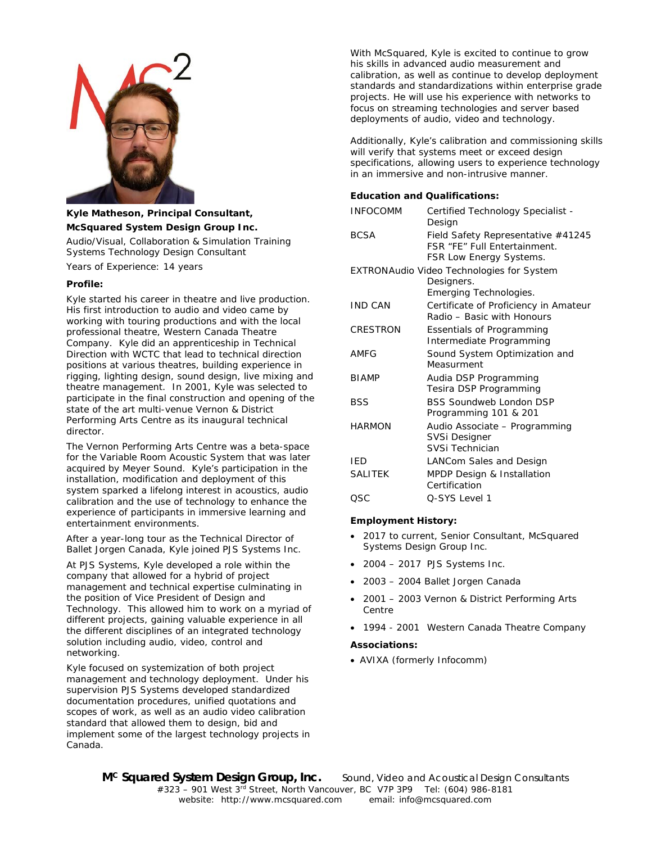

# **Kyle Matheson, Principal Consultant, McSquared System Design Group Inc.**

Audio/Visual, Collaboration & Simulation Training Systems Technology Design Consultant

Years of Experience: 14 years

### **Profile:**

Kyle started his career in theatre and live production. His first introduction to audio and video came by working with touring productions and with the local professional theatre, Western Canada Theatre Company. Kyle did an apprenticeship in Technical Direction with WCTC that lead to technical direction positions at various theatres, building experience in rigging, lighting design, sound design, live mixing and theatre management. In 2001, Kyle was selected to participate in the final construction and opening of the state of the art multi-venue Vernon & District Performing Arts Centre as its inaugural technical director.

The Vernon Performing Arts Centre was a beta-space for the Variable Room Acoustic System that was later acquired by Meyer Sound. Kyle's participation in the installation, modification and deployment of this system sparked a lifelong interest in acoustics, audio calibration and the use of technology to enhance the experience of participants in immersive learning and entertainment environments.

After a year-long tour as the Technical Director of Ballet Jorgen Canada, Kyle joined PJS Systems Inc.

At PJS Systems, Kyle developed a role within the company that allowed for a hybrid of project management and technical expertise culminating in the position of Vice President of Design and Technology. This allowed him to work on a myriad of different projects, gaining valuable experience in all the different disciplines of an integrated technology solution including audio, video, control and networking.

Kyle focused on systemization of both project management and technology deployment. Under his supervision PJS Systems developed standardized documentation procedures, unified quotations and scopes of work, as well as an audio video calibration standard that allowed them to design, bid and implement some of the largest technology projects in Canada.

With McSquared, Kyle is excited to continue to grow his skills in advanced audio measurement and calibration, as well as continue to develop deployment standards and standardizations within enterprise grade projects. He will use his experience with networks to focus on streaming technologies and server based deployments of audio, video and technology.

Additionally, Kyle's calibration and commissioning skills will verify that systems meet or exceed design specifications, allowing users to experience technology in an immersive and non-intrusive manner.

## **Education and Qualifications:**

| <b>INFOCOMM</b> | Certified Technology Specialist -<br>Design                                                          |
|-----------------|------------------------------------------------------------------------------------------------------|
| <b>BCSA</b>     | Field Safety Representative #41245<br><b>FSR "FF" Full Entertainment.</b><br>FSR Low Energy Systems. |
|                 | <b>EXTRONAudio Video Technologies for System</b><br>Designers.                                       |
| <b>IND CAN</b>  | Emerging Technologies.<br>Certificate of Proficiency in Amateur<br>Radio - Basic with Honours        |
| CRESTRON        | <b>Essentials of Programming</b><br>Intermediate Programming                                         |
| AMFG            | Sound System Optimization and<br>Measurment                                                          |
| <b>BIAMP</b>    | Audia DSP Programming<br>Tesira DSP Programming                                                      |
| <b>BSS</b>      | <b>BSS Soundweb London DSP</b><br>Programming 101 & 201                                              |
| <b>HARMON</b>   | Audio Associate - Programming<br><b>SVSi Designer</b><br>SVSi Technician                             |
| IED             | LANCom Sales and Design                                                                              |
| <b>SALITEK</b>  | MPDP Design & Installation<br>Certification                                                          |
| OSC             | O-SYS Level 1                                                                                        |

### **Employment History:**

- 2017 to current, Senior Consultant, McSquared Systems Design Group Inc.
- 2004 2017 PJS Systems Inc.
- 2003 2004 Ballet Jorgen Canada
- 2001 2003 Vernon & District Performing Arts Centre
- 1994 2001 Western Canada Theatre Company

#### **Associations:**

• AVIXA (formerly Infocomm)